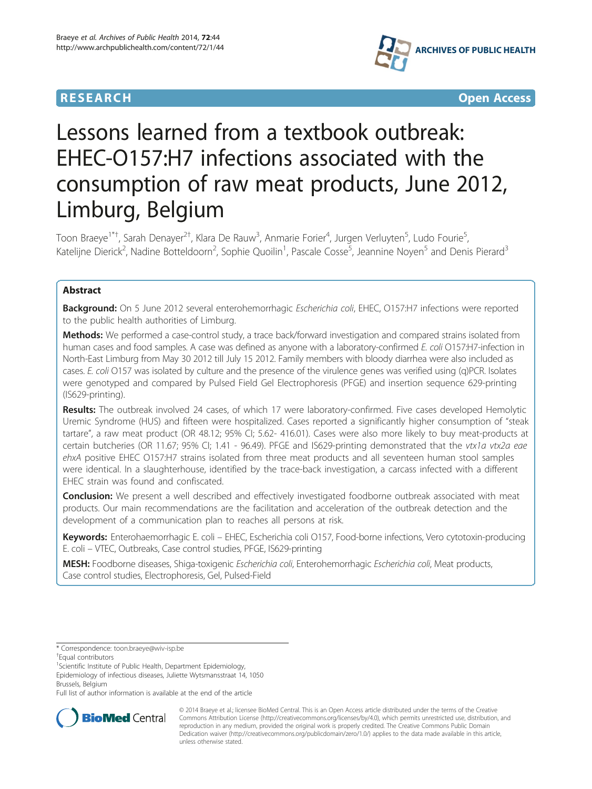



# Lessons learned from a textbook outbreak: EHEC-O157:H7 infections associated with the consumption of raw meat products, June 2012, Limburg, Belgium

Toon Braeye<sup>1\*†</sup>, Sarah Denayer<sup>2†</sup>, Klara De Rauw<sup>3</sup>, Anmarie Forier<sup>4</sup>, Jurgen Verluyten<sup>5</sup>, Ludo Fourie<sup>5</sup> , Katelijne Dierick<sup>2</sup>, Nadine Botteldoorn<sup>2</sup>, Sophie Quoilin<sup>1</sup>, Pascale Cosse<sup>5</sup>, Jeannine Noyen<sup>5</sup> and Denis Pierard<sup>3</sup>

# Abstract

Background: On 5 June 2012 several enterohemorrhagic Escherichia coli, EHEC, O157:H7 infections were reported to the public health authorities of Limburg.

Methods: We performed a case-control study, a trace back/forward investigation and compared strains isolated from human cases and food samples. A case was defined as anyone with a laboratory-confirmed E. coli O157:H7-infection in North-East Limburg from May 30 2012 till July 15 2012. Family members with bloody diarrhea were also included as cases. E. coli O157 was isolated by culture and the presence of the virulence genes was verified using (q)PCR. Isolates were genotyped and compared by Pulsed Field Gel Electrophoresis (PFGE) and insertion sequence 629-printing (IS629-printing).

Results: The outbreak involved 24 cases, of which 17 were laboratory-confirmed. Five cases developed Hemolytic Uremic Syndrome (HUS) and fifteen were hospitalized. Cases reported a significantly higher consumption of "steak tartare", a raw meat product (OR 48.12; 95% CI; 5.62- 416.01). Cases were also more likely to buy meat-products at certain butcheries (OR 11.67; 95% CI; 1.41 - 96.49). PFGE and IS629-printing demonstrated that the vtx1a vtx2a eae ehxA positive EHEC O157:H7 strains isolated from three meat products and all seventeen human stool samples were identical. In a slaughterhouse, identified by the trace-back investigation, a carcass infected with a different EHEC strain was found and confiscated.

**Conclusion:** We present a well described and effectively investigated foodborne outbreak associated with meat products. Our main recommendations are the facilitation and acceleration of the outbreak detection and the development of a communication plan to reaches all persons at risk.

Keywords: Enterohaemorrhagic E. coli – EHEC, Escherichia coli O157, Food-borne infections, Vero cytotoxin-producing E. coli – VTEC, Outbreaks, Case control studies, PFGE, IS629-printing

MESH: Foodborne diseases, Shiga-toxigenic Escherichia coli, Enterohemorrhagic Escherichia coli, Meat products, Case control studies, Electrophoresis, Gel, Pulsed-Field

Epidemiology of infectious diseases, Juliette Wytsmansstraat 14, 1050 Brussels, Belgium

Full list of author information is available at the end of the article



© 2014 Braeye et al.; licensee BioMed Central. This is an Open Access article distributed under the terms of the Creative Commons Attribution License [\(http://creativecommons.org/licenses/by/4.0\)](http://creativecommons.org/licenses/by/4.0), which permits unrestricted use, distribution, and reproduction in any medium, provided the original work is properly credited. The Creative Commons Public Domain Dedication waiver [\(http://creativecommons.org/publicdomain/zero/1.0/](http://creativecommons.org/publicdomain/zero/1.0/)) applies to the data made available in this article, unless otherwise stated.

<sup>\*</sup> Correspondence: [toon.braeye@wiv-isp.be](mailto:toon.braeye@wiv-isp.be) †

Equal contributors

<sup>&</sup>lt;sup>1</sup>Scientific Institute of Public Health, Department Epidemiology,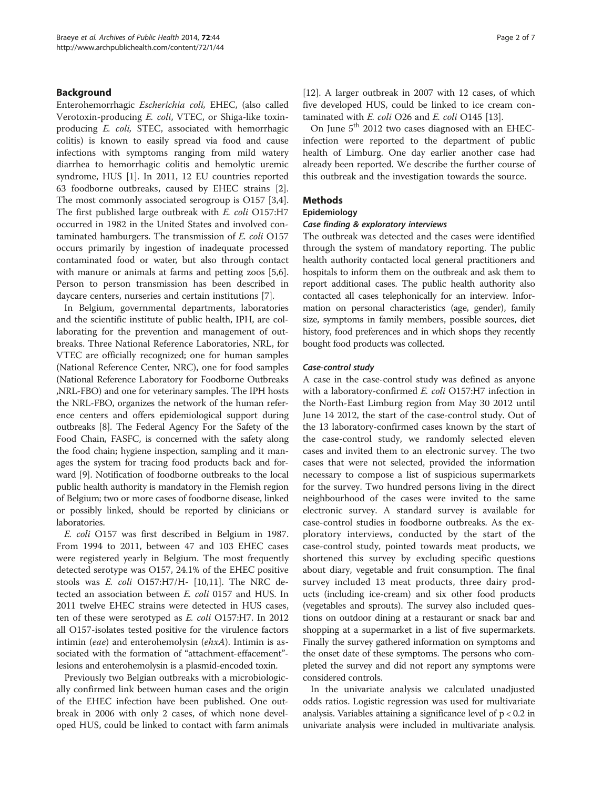# Background

Enterohemorrhagic Escherichia coli, EHEC, (also called Verotoxin-producing E. coli, VTEC, or Shiga-like toxinproducing E. coli, STEC, associated with hemorrhagic colitis) is known to easily spread via food and cause infections with symptoms ranging from mild watery diarrhea to hemorrhagic colitis and hemolytic uremic syndrome, HUS [\[1\]](#page-6-0). In 2011, 12 EU countries reported 63 foodborne outbreaks, caused by EHEC strains [\[2](#page-6-0)]. The most commonly associated serogroup is O157 [\[3,4](#page-6-0)]. The first published large outbreak with E. coli O157:H7 occurred in 1982 in the United States and involved contaminated hamburgers. The transmission of E. coli O157 occurs primarily by ingestion of inadequate processed contaminated food or water, but also through contact with manure or animals at farms and petting zoos [\[5,6](#page-6-0)]. Person to person transmission has been described in daycare centers, nurseries and certain institutions [\[7](#page-6-0)].

In Belgium, governmental departments, laboratories and the scientific institute of public health, IPH, are collaborating for the prevention and management of outbreaks. Three National Reference Laboratories, NRL, for VTEC are officially recognized; one for human samples (National Reference Center, NRC), one for food samples (National Reference Laboratory for Foodborne Outbreaks ,NRL-FBO) and one for veterinary samples. The IPH hosts the NRL-FBO, organizes the network of the human reference centers and offers epidemiological support during outbreaks [[8\]](#page-6-0). The Federal Agency For the Safety of the Food Chain, FASFC, is concerned with the safety along the food chain; hygiene inspection, sampling and it manages the system for tracing food products back and forward [[9\]](#page-6-0). Notification of foodborne outbreaks to the local public health authority is mandatory in the Flemish region of Belgium; two or more cases of foodborne disease, linked or possibly linked, should be reported by clinicians or laboratories.

E. coli O157 was first described in Belgium in 1987. From 1994 to 2011, between 47 and 103 EHEC cases were registered yearly in Belgium. The most frequently detected serotype was O157, 24.1% of the EHEC positive stools was E. coli O157:H7/H- [\[10,11\]](#page-6-0). The NRC detected an association between E. coli 0157 and HUS. In 2011 twelve EHEC strains were detected in HUS cases, ten of these were serotyped as E. coli O157:H7. In 2012 all O157-isolates tested positive for the virulence factors intimin (eae) and enterohemolysin (ehxA). Intimin is associated with the formation of "attachment-effacement" lesions and enterohemolysin is a plasmid-encoded toxin.

Previously two Belgian outbreaks with a microbiologically confirmed link between human cases and the origin of the EHEC infection have been published. One outbreak in 2006 with only 2 cases, of which none developed HUS, could be linked to contact with farm animals [[12\]](#page-6-0). A larger outbreak in 2007 with 12 cases, of which five developed HUS, could be linked to ice cream contaminated with  $E.$  coli O26 and  $E.$  coli O145 [[13](#page-6-0)].

On June 5<sup>th</sup> 2012 two cases diagnosed with an EHECinfection were reported to the department of public health of Limburg. One day earlier another case had already been reported. We describe the further course of this outbreak and the investigation towards the source.

# Methods

# Epidemiology

## Case finding & exploratory interviews

The outbreak was detected and the cases were identified through the system of mandatory reporting. The public health authority contacted local general practitioners and hospitals to inform them on the outbreak and ask them to report additional cases. The public health authority also contacted all cases telephonically for an interview. Information on personal characteristics (age, gender), family size, symptoms in family members, possible sources, diet history, food preferences and in which shops they recently bought food products was collected.

## Case-control study

A case in the case-control study was defined as anyone with a laboratory-confirmed E. coli O157:H7 infection in the North-East Limburg region from May 30 2012 until June 14 2012, the start of the case-control study. Out of the 13 laboratory-confirmed cases known by the start of the case-control study, we randomly selected eleven cases and invited them to an electronic survey. The two cases that were not selected, provided the information necessary to compose a list of suspicious supermarkets for the survey. Two hundred persons living in the direct neighbourhood of the cases were invited to the same electronic survey. A standard survey is available for case-control studies in foodborne outbreaks. As the exploratory interviews, conducted by the start of the case-control study, pointed towards meat products, we shortened this survey by excluding specific questions about diary, vegetable and fruit consumption. The final survey included 13 meat products, three dairy products (including ice-cream) and six other food products (vegetables and sprouts). The survey also included questions on outdoor dining at a restaurant or snack bar and shopping at a supermarket in a list of five supermarkets. Finally the survey gathered information on symptoms and the onset date of these symptoms. The persons who completed the survey and did not report any symptoms were considered controls.

In the univariate analysis we calculated unadjusted odds ratios. Logistic regression was used for multivariate analysis. Variables attaining a significance level of  $p < 0.2$  in univariate analysis were included in multivariate analysis.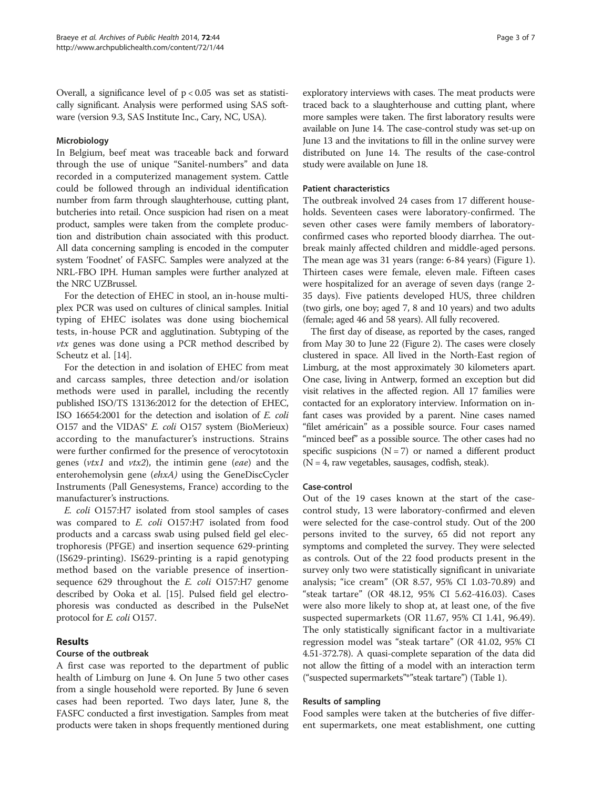Overall, a significance level of  $p < 0.05$  was set as statistically significant. Analysis were performed using SAS software (version 9.3, SAS Institute Inc., Cary, NC, USA).

# Microbiology

In Belgium, beef meat was traceable back and forward through the use of unique "Sanitel-numbers" and data recorded in a computerized management system. Cattle could be followed through an individual identification number from farm through slaughterhouse, cutting plant, butcheries into retail. Once suspicion had risen on a meat product, samples were taken from the complete production and distribution chain associated with this product. All data concerning sampling is encoded in the computer system 'Foodnet' of FASFC. Samples were analyzed at the NRL-FBO IPH. Human samples were further analyzed at the NRC UZBrussel.

For the detection of EHEC in stool, an in-house multiplex PCR was used on cultures of clinical samples. Initial typing of EHEC isolates was done using biochemical tests, in-house PCR and agglutination. Subtyping of the *vtx* genes was done using a PCR method described by Scheutz et al. [\[14](#page-6-0)].

For the detection in and isolation of EHEC from meat and carcass samples, three detection and/or isolation methods were used in parallel, including the recently published ISO/TS 13136:2012 for the detection of EHEC, ISO 16654:2001 for the detection and isolation of E. coli O157 and the VIDAS<sup>®</sup> E. coli O157 system (BioMerieux) according to the manufacturer's instructions. Strains were further confirmed for the presence of verocytotoxin genes ( $vtx1$  and  $vtx2$ ), the intimin gene (eae) and the enterohemolysin gene (ehxA) using the GeneDiscCycler Instruments (Pall Genesystems, France) according to the manufacturer's instructions.

E. coli O157:H7 isolated from stool samples of cases was compared to *E. coli* O157:H7 isolated from food products and a carcass swab using pulsed field gel electrophoresis (PFGE) and insertion sequence 629-printing (IS629-printing). IS629-printing is a rapid genotyping method based on the variable presence of insertionsequence 629 throughout the *E. coli* O157:H7 genome described by Ooka et al. [\[15\]](#page-6-0). Pulsed field gel electrophoresis was conducted as described in the PulseNet protocol for E. coli O157.

# Results

# Course of the outbreak

A first case was reported to the department of public health of Limburg on June 4. On June 5 two other cases from a single household were reported. By June 6 seven cases had been reported. Two days later, June 8, the FASFC conducted a first investigation. Samples from meat products were taken in shops frequently mentioned during

exploratory interviews with cases. The meat products were traced back to a slaughterhouse and cutting plant, where more samples were taken. The first laboratory results were available on June 14. The case-control study was set-up on June 13 and the invitations to fill in the online survey were distributed on June 14. The results of the case-control study were available on June 18.

## Patient characteristics

The outbreak involved 24 cases from 17 different households. Seventeen cases were laboratory-confirmed. The seven other cases were family members of laboratoryconfirmed cases who reported bloody diarrhea. The outbreak mainly affected children and middle-aged persons. The mean age was 31 years (range: 6-84 years) (Figure [1](#page-3-0)). Thirteen cases were female, eleven male. Fifteen cases were hospitalized for an average of seven days (range 2- 35 days). Five patients developed HUS, three children (two girls, one boy; aged 7, 8 and 10 years) and two adults (female; aged 46 and 58 years). All fully recovered.

The first day of disease, as reported by the cases, ranged from May 30 to June 22 (Figure [2](#page-3-0)). The cases were closely clustered in space. All lived in the North-East region of Limburg, at the most approximately 30 kilometers apart. One case, living in Antwerp, formed an exception but did visit relatives in the affected region. All 17 families were contacted for an exploratory interview. Information on infant cases was provided by a parent. Nine cases named "filet américain" as a possible source. Four cases named "minced beef" as a possible source. The other cases had no specific suspicions  $(N = 7)$  or named a different product  $(N = 4$ , raw vegetables, sausages, codfish, steak).

# Case-control

Out of the 19 cases known at the start of the casecontrol study, 13 were laboratory-confirmed and eleven were selected for the case-control study. Out of the 200 persons invited to the survey, 65 did not report any symptoms and completed the survey. They were selected as controls. Out of the 22 food products present in the survey only two were statistically significant in univariate analysis; "ice cream" (OR 8.57, 95% CI 1.03-70.89) and "steak tartare" (OR 48.12, 95% CI 5.62-416.03). Cases were also more likely to shop at, at least one, of the five suspected supermarkets (OR 11.67, 95% CI 1.41, 96.49). The only statistically significant factor in a multivariate regression model was "steak tartare" (OR 41.02, 95% CI 4.51-372.78). A quasi-complete separation of the data did not allow the fitting of a model with an interaction term ("suspected supermarkets"\*"steak tartare") (Table [1](#page-4-0)).

# Results of sampling

Food samples were taken at the butcheries of five different supermarkets, one meat establishment, one cutting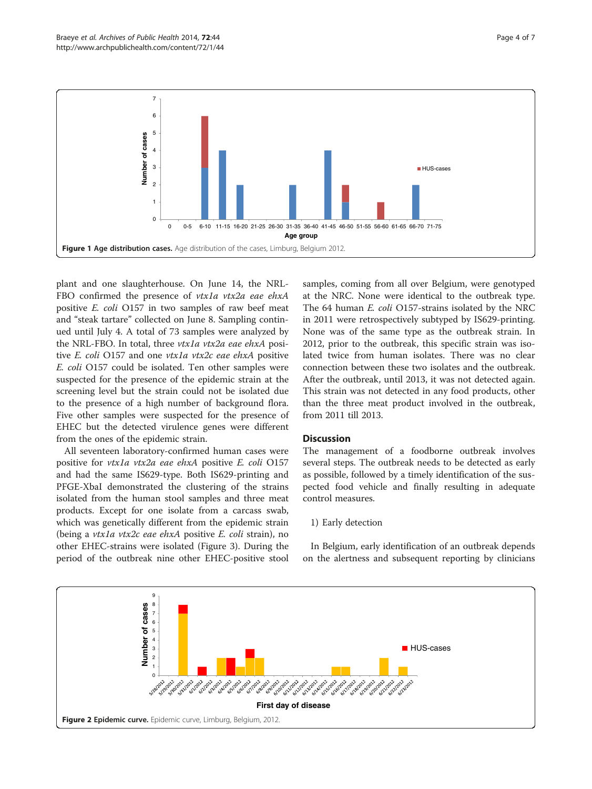<span id="page-3-0"></span>

plant and one slaughterhouse. On June 14, the NRL-FBO confirmed the presence of vtx1a vtx2a eae ehxA positive E. coli O157 in two samples of raw beef meat and "steak tartare" collected on June 8. Sampling continued until July 4. A total of 73 samples were analyzed by the NRL-FBO. In total, three vtx1a vtx2a eae ehxA positive E. coli O157 and one vtx1a vtx2c eae ehxA positive E. coli O157 could be isolated. Ten other samples were suspected for the presence of the epidemic strain at the screening level but the strain could not be isolated due to the presence of a high number of background flora. Five other samples were suspected for the presence of EHEC but the detected virulence genes were different from the ones of the epidemic strain.

All seventeen laboratory-confirmed human cases were positive for vtx1a vtx2a eae ehxA positive E. coli O157 and had the same IS629-type. Both IS629-printing and PFGE-XbaI demonstrated the clustering of the strains isolated from the human stool samples and three meat products. Except for one isolate from a carcass swab, which was genetically different from the epidemic strain (being a vtx1a vtx2c eae ehxA positive E. coli strain), no other EHEC-strains were isolated (Figure [3](#page-4-0)). During the period of the outbreak nine other EHEC-positive stool

samples, coming from all over Belgium, were genotyped at the NRC. None were identical to the outbreak type. The 64 human E. coli O157-strains isolated by the NRC in 2011 were retrospectively subtyped by IS629-printing. None was of the same type as the outbreak strain. In 2012, prior to the outbreak, this specific strain was isolated twice from human isolates. There was no clear connection between these two isolates and the outbreak. After the outbreak, until 2013, it was not detected again. This strain was not detected in any food products, other than the three meat product involved in the outbreak, from 2011 till 2013.

## **Discussion**

The management of a foodborne outbreak involves several steps. The outbreak needs to be detected as early as possible, followed by a timely identification of the suspected food vehicle and finally resulting in adequate control measures.

## 1) Early detection

In Belgium, early identification of an outbreak depends on the alertness and subsequent reporting by clinicians

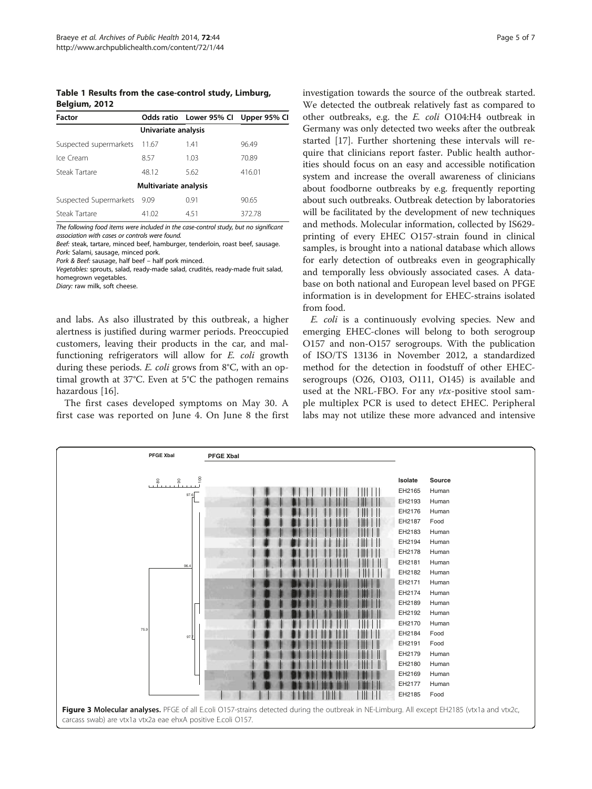<span id="page-4-0"></span>Table 1 Results from the case-control study, Limburg, Belgium, 2012

| <b>Factor</b>          |                       | Odds ratio Lower 95% Cl Upper 95% Cl |        |
|------------------------|-----------------------|--------------------------------------|--------|
| Univariate analysis    |                       |                                      |        |
| Suspected supermarkets | 11.67                 | 1.41                                 | 96.49  |
| Ice Cream              | 8.57                  | 1.03                                 | 70.89  |
| Steak Tartare          | 48.12                 | 5.62                                 | 416.01 |
|                        | Multivariate analysis |                                      |        |
| Suspected Supermarkets | - 9.09                | 0.91                                 | 90.65  |
| Steak Tartare          | 41.02                 | 451                                  | 372.78 |

The following food items were included in the case-control study, but no significant association with cases or controls were found.

Beef: steak, tartare, minced beef, hamburger, tenderloin, roast beef, sausage. Pork: Salami, sausage, minced pork.

Pork & Beef: sausage, half beef – half pork minced.

Vegetables: sprouts, salad, ready-made salad, crudités, ready-made fruit salad, homegrown vegetables.

Diary: raw milk, soft cheese.

and labs. As also illustrated by this outbreak, a higher alertness is justified during warmer periods. Preoccupied customers, leaving their products in the car, and malfunctioning refrigerators will allow for E. coli growth during these periods. E. coli grows from 8°C, with an optimal growth at 37°C. Even at 5°C the pathogen remains hazardous [\[16](#page-6-0)].

The first cases developed symptoms on May 30. A first case was reported on June 4. On June 8 the first investigation towards the source of the outbreak started. We detected the outbreak relatively fast as compared to other outbreaks, e.g. the E. coli O104:H4 outbreak in Germany was only detected two weeks after the outbreak started [\[17\]](#page-6-0). Further shortening these intervals will require that clinicians report faster. Public health authorities should focus on an easy and accessible notification system and increase the overall awareness of clinicians about foodborne outbreaks by e.g. frequently reporting about such outbreaks. Outbreak detection by laboratories will be facilitated by the development of new techniques and methods. Molecular information, collected by IS629 printing of every EHEC O157-strain found in clinical samples, is brought into a national database which allows for early detection of outbreaks even in geographically and temporally less obviously associated cases. A database on both national and European level based on PFGE information is in development for EHEC-strains isolated from food.

E. coli is a continuously evolving species. New and emerging EHEC-clones will belong to both serogroup O157 and non-O157 serogroups. With the publication of ISO/TS 13136 in November 2012, a standardized method for the detection in foodstuff of other EHECserogroups (O26, O103, O111, O145) is available and used at the NRL-FBO. For any  $vtx$ -positive stool sample multiplex PCR is used to detect EHEC. Peripheral labs may not utilize these more advanced and intensive

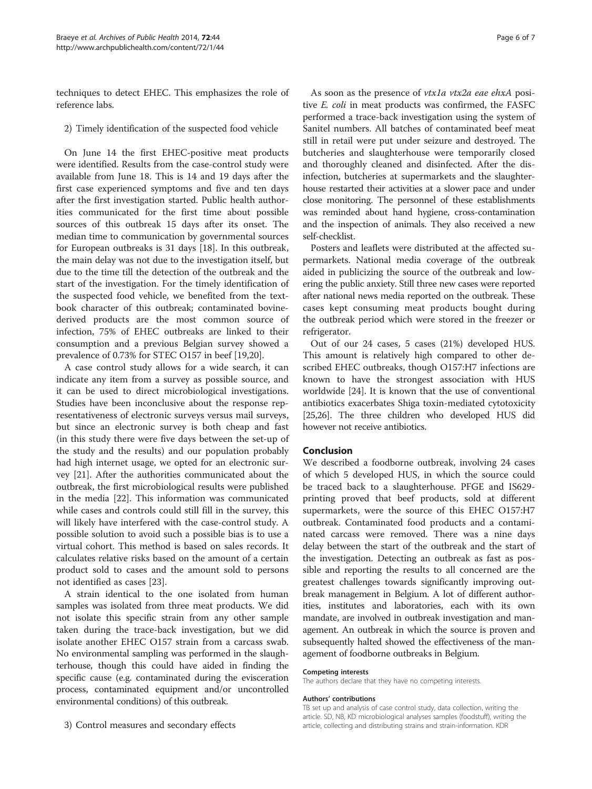techniques to detect EHEC. This emphasizes the role of reference labs.

2) Timely identification of the suspected food vehicle

On June 14 the first EHEC-positive meat products were identified. Results from the case-control study were available from June 18. This is 14 and 19 days after the first case experienced symptoms and five and ten days after the first investigation started. Public health authorities communicated for the first time about possible sources of this outbreak 15 days after its onset. The median time to communication by governmental sources for European outbreaks is 31 days [[18\]](#page-6-0). In this outbreak, the main delay was not due to the investigation itself, but due to the time till the detection of the outbreak and the start of the investigation. For the timely identification of the suspected food vehicle, we benefited from the textbook character of this outbreak; contaminated bovinederived products are the most common source of infection, 75% of EHEC outbreaks are linked to their consumption and a previous Belgian survey showed a prevalence of 0.73% for STEC O157 in beef [[19,20\]](#page-6-0).

A case control study allows for a wide search, it can indicate any item from a survey as possible source, and it can be used to direct microbiological investigations. Studies have been inconclusive about the response representativeness of electronic surveys versus mail surveys, but since an electronic survey is both cheap and fast (in this study there were five days between the set-up of the study and the results) and our population probably had high internet usage, we opted for an electronic survey [\[21\]](#page-6-0). After the authorities communicated about the outbreak, the first microbiological results were published in the media [\[22](#page-6-0)]. This information was communicated while cases and controls could still fill in the survey, this will likely have interfered with the case-control study. A possible solution to avoid such a possible bias is to use a virtual cohort. This method is based on sales records. It calculates relative risks based on the amount of a certain product sold to cases and the amount sold to persons not identified as cases [[23\]](#page-6-0).

A strain identical to the one isolated from human samples was isolated from three meat products. We did not isolate this specific strain from any other sample taken during the trace-back investigation, but we did isolate another EHEC O157 strain from a carcass swab. No environmental sampling was performed in the slaughterhouse, though this could have aided in finding the specific cause (e.g. contaminated during the evisceration process, contaminated equipment and/or uncontrolled environmental conditions) of this outbreak.

As soon as the presence of *vtx1a vtx2a eae ehxA* positive E. coli in meat products was confirmed, the FASFC performed a trace-back investigation using the system of Sanitel numbers. All batches of contaminated beef meat still in retail were put under seizure and destroyed. The butcheries and slaughterhouse were temporarily closed and thoroughly cleaned and disinfected. After the disinfection, butcheries at supermarkets and the slaughterhouse restarted their activities at a slower pace and under close monitoring. The personnel of these establishments was reminded about hand hygiene, cross-contamination and the inspection of animals. They also received a new

self-checklist. Posters and leaflets were distributed at the affected supermarkets. National media coverage of the outbreak aided in publicizing the source of the outbreak and lowering the public anxiety. Still three new cases were reported after national news media reported on the outbreak. These cases kept consuming meat products bought during the outbreak period which were stored in the freezer or refrigerator.

Out of our 24 cases, 5 cases (21%) developed HUS. This amount is relatively high compared to other described EHEC outbreaks, though O157:H7 infections are known to have the strongest association with HUS worldwide [[24](#page-6-0)]. It is known that the use of conventional antibiotics exacerbates Shiga toxin-mediated cytotoxicity [[25,26\]](#page-6-0). The three children who developed HUS did however not receive antibiotics.

# Conclusion

We described a foodborne outbreak, involving 24 cases of which 5 developed HUS, in which the source could be traced back to a slaughterhouse. PFGE and IS629 printing proved that beef products, sold at different supermarkets, were the source of this EHEC O157:H7 outbreak. Contaminated food products and a contaminated carcass were removed. There was a nine days delay between the start of the outbreak and the start of the investigation. Detecting an outbreak as fast as possible and reporting the results to all concerned are the greatest challenges towards significantly improving outbreak management in Belgium. A lot of different authorities, institutes and laboratories, each with its own mandate, are involved in outbreak investigation and management. An outbreak in which the source is proven and subsequently halted showed the effectiveness of the management of foodborne outbreaks in Belgium.

## Competing interests

The authors declare that they have no competing interests.

#### Authors' contributions

TB set up and analysis of case control study, data collection, writing the article. SD, NB, KD microbiological analyses samples (foodstuff), writing the article, collecting and distributing strains and strain-information. KDR